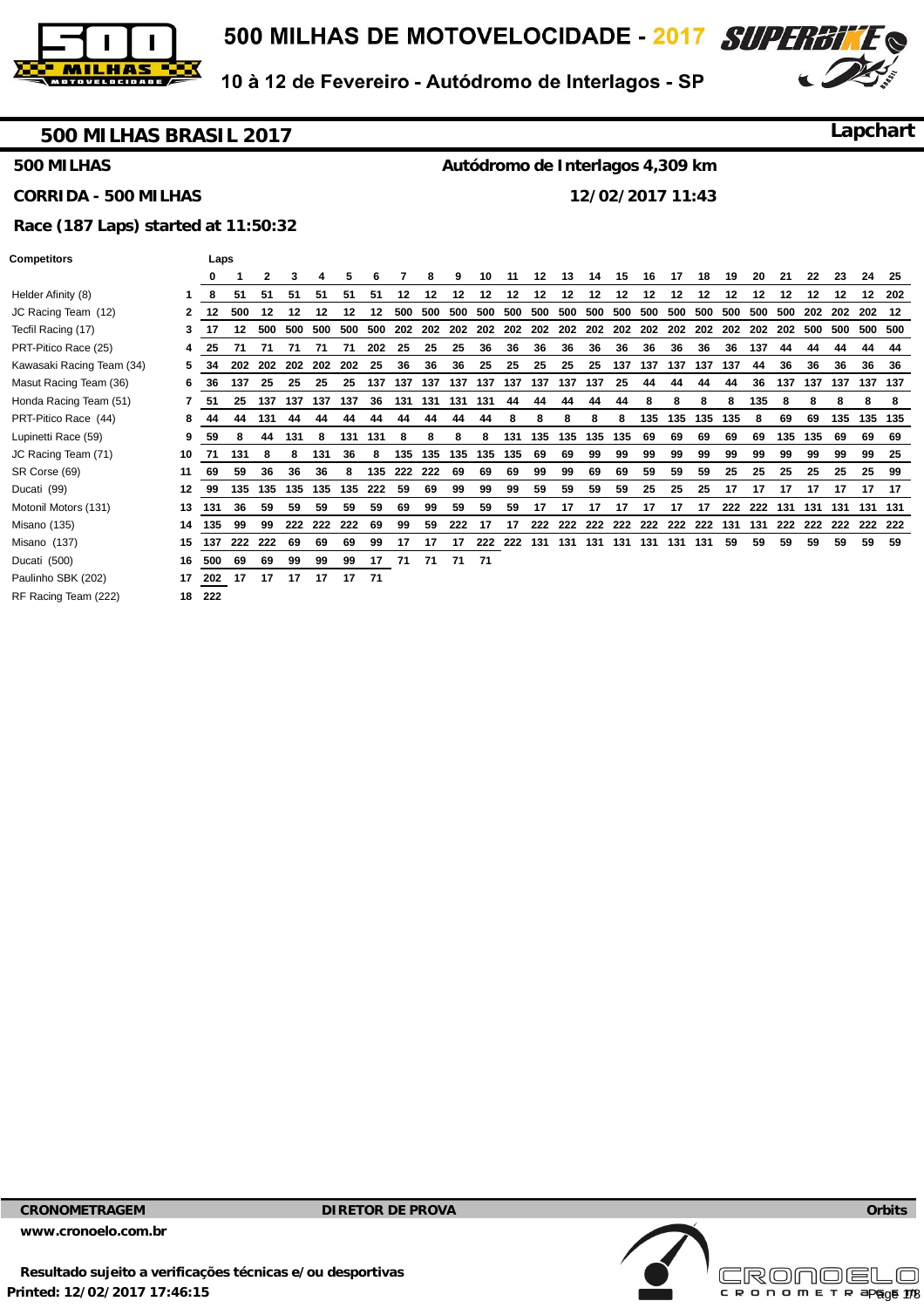

**CORRIDA - 500 MILHAS** 

10 à 12 de Fevereiro - Autódromo de Interlagos - SP



### **500 MILHAS BRASIL 2017**

**500 MILHAS** 

**Lapchart**

#### **Autódromo de Interlagos 4,309 km**

**12/02/2017 11:43** 

# **Race (187 Laps) started at 11:50:32**

#### **Competitors Laps**

**Helder Afinity (8)** JC Racing Team (12) Tecfil Racing (17) PRT-Pitico Race (25) Kawasaki Racing Team (34) **5 Masut Racing Team (36)** Honda Racing Team (51) PRT-Pitico Race (44) Lupinetti Race (59) JC Racing Team (71) SR Corse (69) Ducati (99) **Motonil Motors (131)** Misano (135) **14 Misano** (137) Ducati (500) Paulinho SBK (202) RF Racing Team (222)

|              | 0         |                          | 2      | з.         |         |                                             | 6                |             | 8   | 9                      | 10    | 11 | 12                       | 13 | 14 | 15 | - 16                      | - 17 | 18 | 19  | -20                            | -21              | 22      | -23 | 24                     | 25     |
|--------------|-----------|--------------------------|--------|------------|---------|---------------------------------------------|------------------|-------------|-----|------------------------|-------|----|--------------------------|----|----|----|---------------------------|------|----|-----|--------------------------------|------------------|---------|-----|------------------------|--------|
|              | 8         | 51                       | 51     | 51         | 51      | 51                                          | 51               | 12          | 12  | 12 <sup>12</sup>       | 12    | 12 | 12                       | 12 | 12 |    | 12 12                     | 12   | 12 | 12  | 12 <sup>12</sup>               | 12 <sup>12</sup> | 12      | 12  |                        | 12 202 |
| $\mathbf{2}$ | 12        | 500                      | -12    | 12         | 12      | 12                                          | 12 <sup>12</sup> |             |     |                        |       |    |                          |    |    |    |                           |      |    |     |                                |                  |         |     |                        |        |
| 3.           | 17        |                          |        | 12 500 500 |         |                                             |                  |             |     |                        |       |    |                          |    |    |    |                           |      |    |     |                                |                  |         |     |                        |        |
| 4            | 25        | 71                       | 71     | 71         | 71      | 71                                          | 202 25           |             | -25 | 25                     | 36    | 36 | 36                       | 36 | 36 | 36 | -36                       | 36   | 36 | -36 | 137                            | 44               | 44      | 44  | 44                     | 44     |
| 5.           | 34        |                          |        |            |         | 202 202 202 202 202 25                      |                  | 36          | 36  | 36                     | - 25  | 25 | - 25                     |    |    |    | 25 25 137 137 137 137 137 |      |    |     | 44                             | 36               | -36     | 36  | 36                     | -36    |
| 6.           | -36       | 137                      | -25    | 25         | -25     |                                             |                  |             |     |                        |       |    |                          |    |    |    |                           |      | 44 | 44  |                                |                  |         |     | 36 137 137 137 137 137 |        |
|              | 7 51      |                          |        |            |         | 25 137 137 137 137 36 131 131 131 131 44 44 |                  |             |     |                        |       |    |                          | 44 | 44 | 44 | 8                         | 8    | 8  | 8   | 135                            | - 8              | 8       | -8  | 8                      | 8      |
| 8            | 44        |                          | 44 131 | 44         | 44      | 44                                          | 44               | 44          | 44  |                        | 44 44 | 8  | 8                        | 8  | 8  | 8  |                           |      |    |     | 135 135 135 135 8              | 69               | 69      |     | 135 135 135            |        |
| 9            | 59        | 8                        | 44     | 131        | 8       |                                             | 131 131          | 8           | 8   | 8                      |       |    | 8 131 135 135 135 135 69 |    |    |    |                           | 69   | 69 | 69  | 69                             |                  | 135 135 | 69  | 69                     | - 69   |
|              | 10 71     | 131                      | - 8    | 8          | 131     |                                             | 36 8             |             |     | 135 135 135 135 135 69 |       |    |                          | 69 | 99 | 99 | 99                        | 99   | 99 | 99  | 99                             | 99               | 99      | 99  | 99                     | - 25   |
| 11           | 69        | 59                       | 36     | 36         | 36      | 8                                           |                  | 135 222 222 |     | 69                     | 69    | 69 | 99                       | 99 | 69 | 69 | 59                        | 59   | 59 | 25  | 25                             | 25               | -25     | -25 | 25                     | 99     |
|              | 12 99     |                          |        |            |         | 135 135 135 135 135 222 59                  |                  |             | 69  | 99                     | 99    | 99 | 59                       | 59 | 59 | 59 | 25                        | 25   | 25 | 17  | 17                             | 17               | 17      | 17  |                        | 17 17  |
|              | 13 131    | 36                       | 59     | 59         | 59      | 59                                          | 59               | 69          | 99  | 59                     | 59    | 59 | 17 <sup>2</sup>          | 17 | 17 |    | 17 17 17                  |      |    |     | 17 222 222 131 131 131 131 131 |                  |         |     |                        |        |
|              | 14 135 99 |                          | 99     |            | 222 222 | 222                                         | 69               | 99          | 59  | 222 17                 |       | 17 |                          |    |    |    |                           |      |    |     |                                |                  |         |     |                        |        |
|              |           | 15 137 222 222 69        |        |            | 69      | 69                                          | 99               | - 17        |     |                        |       |    |                          |    |    |    |                           |      |    |     | 59                             | 59               | 59      | 59  |                        | 59 59  |
|              |           | 16 500 69 69             |        | 99         | 99      |                                             |                  |             |     | 99 17 71 71 71 71      |       |    |                          |    |    |    |                           |      |    |     |                                |                  |         |     |                        |        |
|              |           | 17 202 17 17 17 17 17 71 |        |            |         |                                             |                  |             |     |                        |       |    |                          |    |    |    |                           |      |    |     |                                |                  |         |     |                        |        |
|              | 18 222    |                          |        |            |         |                                             |                  |             |     |                        |       |    |                          |    |    |    |                           |      |    |     |                                |                  |         |     |                        |        |

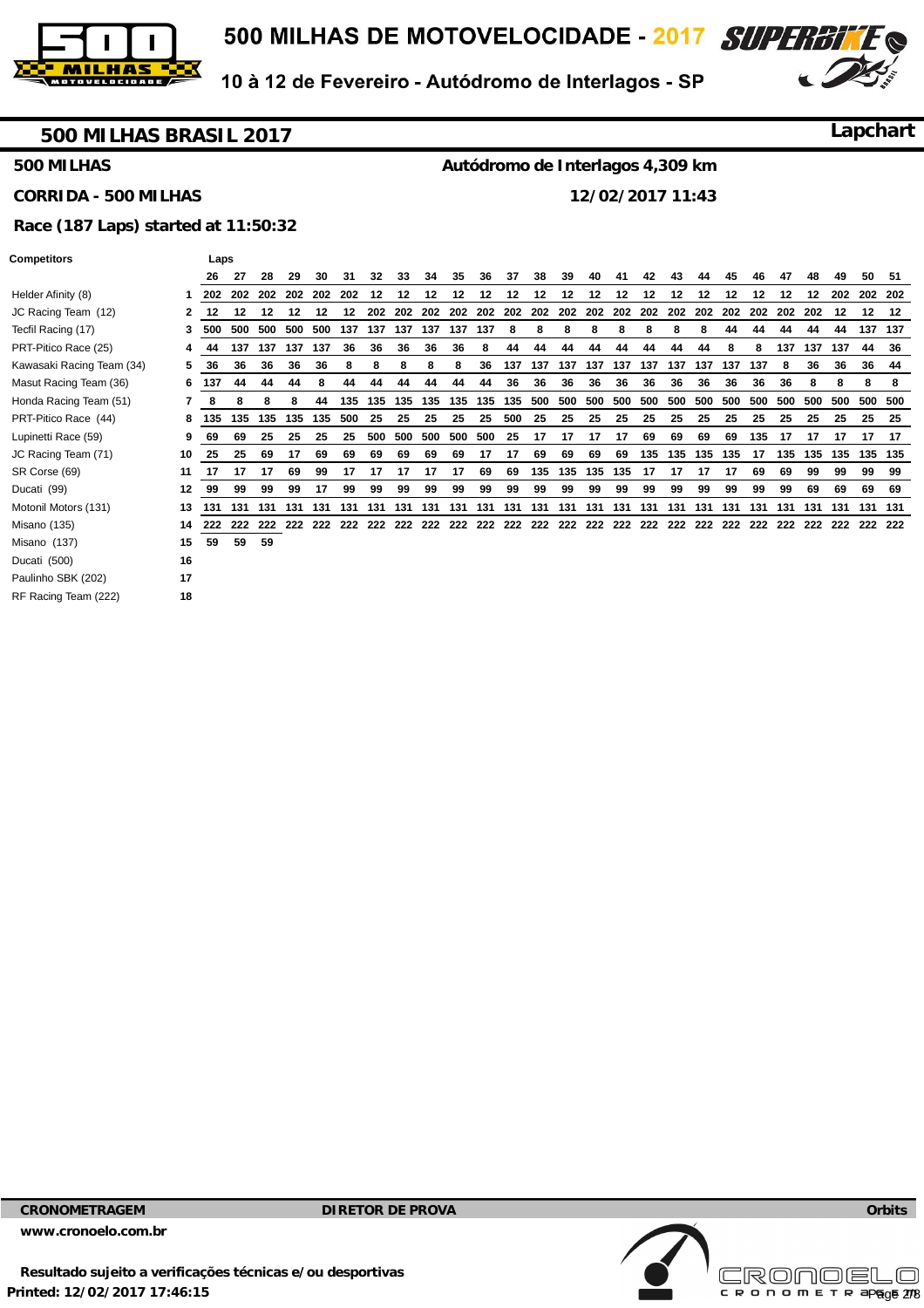

**CORRIDA - 500 MILHAS** 

10 à 12 de Fevereiro - Autódromo de Interlagos - SP



### **500 MILHAS BRASIL 2017**

**500 MILHAS** 

**Lapchart**

#### **Autódromo de Interlagos 4,309 km**

**12/02/2017 11:43** 

# **Race (187 Laps) started at 11:50:32**

#### **Competitors Laps**

**Helder Afinity (8)** JC Racing Team (12) Tecfil Racing (17) PRT-Pitico Race (25) Kawasaki Racing Team (34) **5 Masut Racing Team (36)** Honda Racing Team (51) PRT-Pitico Race (44) Lupinetti Race (59) JC Racing Team (71) SR Corse (69) Ducati (99) **Motonil Motors (131)** Misano (135) **14 Misano** (137) Ducati (500) Paulinho SBK (202) RF Racing Team (222) **18** 

|                  | 26     | 27      | 28      | 29  | 30  | 31  | 32  | 33                                                                                                          | 34          | 35  | 36  | 37      | 38  | 39          | 40  | 41                                      | 42  | 43      | 44  | 45      | 46      | 47  | 48               | 49  | 50  | 51      |
|------------------|--------|---------|---------|-----|-----|-----|-----|-------------------------------------------------------------------------------------------------------------|-------------|-----|-----|---------|-----|-------------|-----|-----------------------------------------|-----|---------|-----|---------|---------|-----|------------------|-----|-----|---------|
|                  |        | 202 202 | 202     | 202 | 202 | 202 | 12  | $12 \,$                                                                                                     | 12          | 12  | 12  | $12 \,$ | 12  | $12 \,$     | 12  | 12                                      | 12  | 12      | 12  | 12      | $12 \,$ | 12  | 12 <sup>12</sup> | 202 | 202 | 202     |
| 2                | 12     | 12      | 12      | 12  | 12  |     |     |                                                                                                             |             |     |     |         |     |             |     |                                         |     |         |     |         |         | 202 | 202              | 12  | 12  | - 12    |
|                  | 500    |         | 500 500 | 500 |     |     |     | 500 137 137 137 137 137 137                                                                                 |             |     |     | -8      | 8   | 8           | 8   | 8                                       | 8   | 8       | 8   | 44      | 44      | 44  | 44               | 44  |     | 137 137 |
| 4                | 44     | 137     | 137     | 137 | 137 | 36  | 36  | 36                                                                                                          | 36          | 36  | 8   | 44      | 44  | 44          | 44  | 44                                      | 44  | 44      | 44  | 8       | 8       | 137 | 137              | 137 | 44  | 36      |
| 5.               | 36     | 36      | 36      | 36  | 36  | 8   | 8   | 8                                                                                                           | 8           | 8   | 36  |         |     |             |     | 137 137 137 137 137 137 137 137 137 137 |     |         |     |         | 137     | 8   | 36               | 36  |     | 36 44   |
| 6.               | 137    | 44      | 44      | 44  | 8   | 44  | 44  | 44                                                                                                          | 44          | 44  | 44  | 36      | 36  | 36          | 36  | 36                                      | 36  | 36      | 36  | 36      | 36      | 36  | 8                | 8   | 8   | 8       |
|                  | -8     | 8       | 8       | 8   | 44  | 135 | 135 |                                                                                                             | 135 135 135 |     |     | 135 135 | 500 | 500         | 500 | 500                                     | 500 | 500     | 500 | 500     | 500     | 500 | 500              | 500 | 500 | 500     |
| 8                | 135    | 135     | 135     | 135 | 135 | 500 | -25 | 25                                                                                                          | 25          | -25 | 25  | 500     | 25  | 25          | 25  | 25                                      | -25 | -25     | -25 | 25      | 25      | 25  | 25               | 25  | 25  | - 25    |
| 9.               | 69     | 69      | 25      | 25  | 25  | 25  | 500 |                                                                                                             | 500 500 500 |     | 500 | 25      | 17  | 17          | 17  | 17                                      | 69  | 69      | 69  | 69      | 135     | 17  | 17               | 17  | 17  | 17      |
| 10               | - 25   | 25      | 69      | 17  | 69  | 69  | 69  | 69                                                                                                          | 69          | 69  | 17  | 17      | 69  | 69          | 69  | 69                                      |     | 135 135 |     | 135 135 | - 17    |     | 135 135 135      |     |     | 135 135 |
| 11               | 17     | 17      | 17      | 69  | 99  | 17  | 17  | 17                                                                                                          | 17          | 17  | 69  | 69      |     | 135 135 135 |     | 135                                     | 17  | 17      | 17  | 17      | 69      | 69  | 99               | 99  | 99  | 99      |
| 12 <sup>12</sup> | 99     | 99      | 99      | 99  | 17  | 99  | 99  | 99                                                                                                          | 99          | 99  | 99  | 99      | 99  | 99          | 99  | 99                                      | 99  | 99      | 99  | 99      | 99      | 99  | 69               | 69  |     | 69 69   |
|                  | 13 131 | 131     | 131     |     |     |     |     |                                                                                                             |             |     |     |         |     |             |     |                                         |     |         |     |         |         | 131 | 131              | 131 |     | 131 131 |
| 14               |        |         |         |     |     |     |     | 222 222 222 222 222 222 222 222 222 222 222 222 222 222 222 222 222 222 222 222 222 222 222 222 222 222 222 |             |     |     |         |     |             |     |                                         |     |         |     |         |         |     |                  |     |     |         |
| 15               | 59     | 59      | 59      |     |     |     |     |                                                                                                             |             |     |     |         |     |             |     |                                         |     |         |     |         |         |     |                  |     |     |         |
| 16               |        |         |         |     |     |     |     |                                                                                                             |             |     |     |         |     |             |     |                                         |     |         |     |         |         |     |                  |     |     |         |
| 17               |        |         |         |     |     |     |     |                                                                                                             |             |     |     |         |     |             |     |                                         |     |         |     |         |         |     |                  |     |     |         |

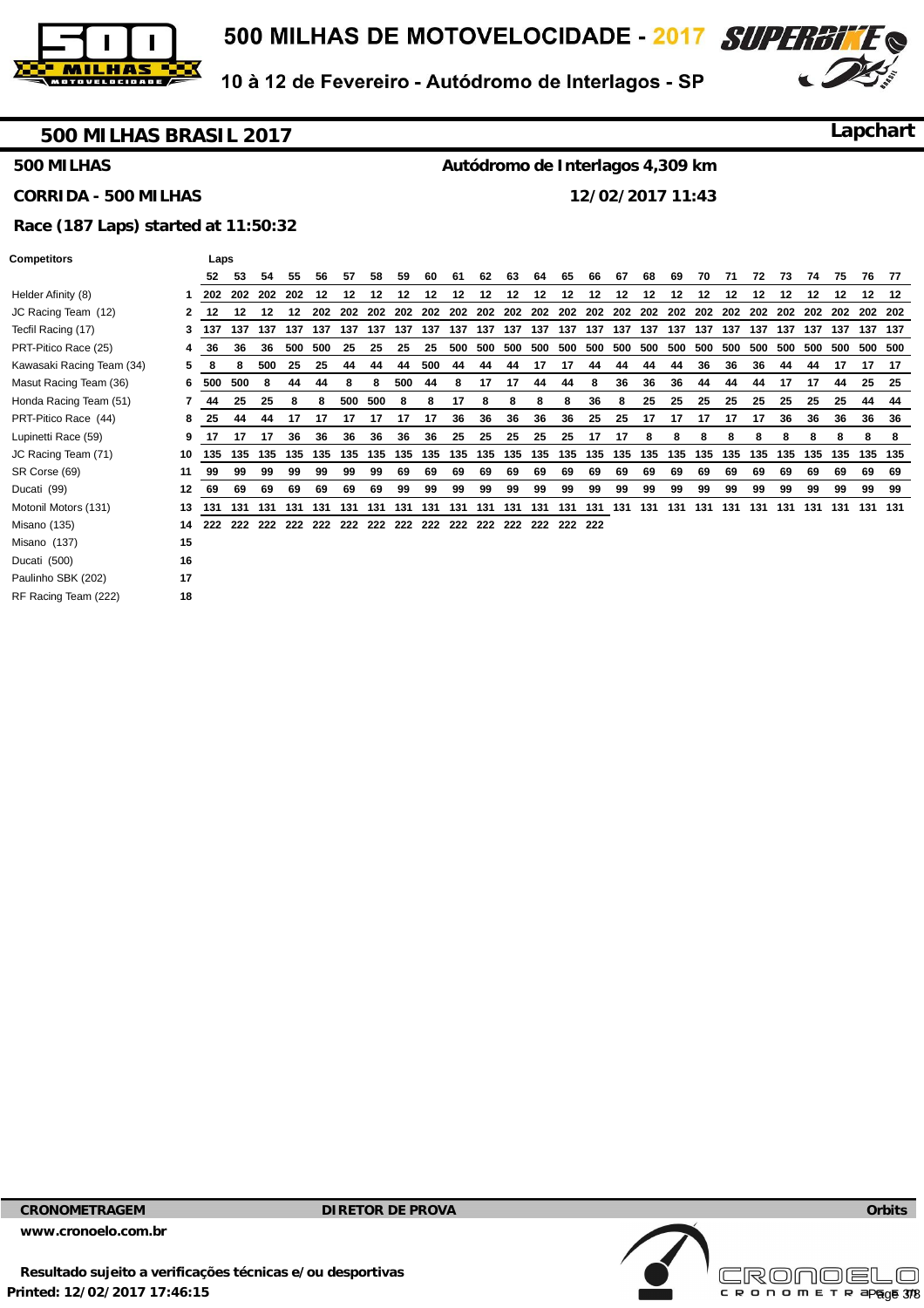

**CORRIDA - 500 MILHAS** 



**Lapchart**

10 à 12 de Fevereiro - Autódromo de Interlagos - SP

#### **500 MILHAS BRASIL 2017**

**500 MILHAS** 

**Autódromo de Interlagos 4,309 km 12/02/2017 11:43** 

### **Race (187 Laps) started at 11:50:32**

#### **Competitors Laps**

| Helder Afinity (8)        | 1  |
|---------------------------|----|
| JC Racing Team (12)       | 2  |
| Tecfil Racing (17)        | 3  |
| PRT-Pitico Race (25)      | 4  |
| Kawasaki Racing Team (34) | 5  |
| Masut Racing Team (36)    | 6  |
| Honda Racing Team (51)    | 7  |
| PRT-Pitico Race (44)      | 8  |
| Lupinetti Race (59)       | 9  |
| JC Racing Team (71)       | 10 |
| SR Corse (69)             | 11 |
| Ducati (99)               | 12 |
| Motonil Motors (131)      | 13 |
| Misano (135)              | 14 |
| Misano (137)              | 15 |
| Ducati (500)              | 16 |
| Paulinho SBK (202)        | 17 |
| RF Racing Team (222)      | 18 |
|                           |    |

|                | 52               | 53               | 54      | 55               | 56  | 57 | 58      | 59  | 60  | 61  | 62 | 63               | 64               | 65              | 66 | 67 | 68  | 69  | 70      | 71  | 72  | 73               | 74  | 75  | 76              | 77    |
|----------------|------------------|------------------|---------|------------------|-----|----|---------|-----|-----|-----|----|------------------|------------------|-----------------|----|----|-----|-----|---------|-----|-----|------------------|-----|-----|-----------------|-------|
|                |                  | 202 202 202      |         | 202              | 12  | 12 | 12      | 12  | 12  | 12  | 12 | 12 <sup>12</sup> | 12 <sup>12</sup> | 12              | 12 | 12 | 12  | 12  | 12      | 12  | 12  | 12 <sup>12</sup> | 12  | 12  | 12              | 12    |
| $\overline{2}$ | 12 <sup>12</sup> | 12 <sup>12</sup> | 12      | 12 <sup>12</sup> | 202 |    |         |     |     |     |    |                  |                  |                 |    |    |     |     |         |     |     |                  |     |     |                 |       |
| 3              | 137              |                  | 137 137 |                  |     |    |         |     |     |     |    |                  |                  |                 |    |    |     |     |         |     |     |                  |     |     |                 |       |
| 4              | 36               | 36               | 36      | 500              | 500 | 25 | 25      | 25  | 25  | 500 |    | 500 500          |                  | 500 500 500 500 |    |    | 500 |     | 500 500 | 500 | 500 | 500              | 500 | 500 | 500 500         |       |
| 5.             | 8                | 8                | 500     | 25               | 25  | 44 | 44      | 44  | 500 | 44  | 44 | 44               | 17               | 17              | 44 | 44 | 44  | 44  | 36      | 36  | 36  | 44               | 44  | 17  | 17              | - 17  |
| 6              |                  | 500 500          | -8      | 44               | 44  | 8  | 8       | 500 | 44  | 8   | 17 | 17               | 44               | 44              | 8  | 36 | 36  | 36  | 44      | 44  | 44  | 17               | 17  | 44  |                 | 25 25 |
| 7              | 44               | 25               | 25      | 8                | 8   |    | 500 500 | 8   | 8   | 17  | 8  | 8                | 8                | -8              | 36 | 8  | 25  | -25 | 25      | 25  | 25  | 25               | 25  | 25  | 44              | 44    |
| 8              | 25               | 44               | 44      | 17               | 17  | 17 | 17      | 17  | 17  | 36  | 36 | 36               | 36               | 36              | 25 | 25 | 17  | 17  | 17      | 17  | 17  | 36               | 36  | 36  | 36              | 36    |
| 9              | 17               | 17               | 17      | 36               | 36  | 36 | 36      | 36  | 36  | 25  | 25 | -25              | 25               | 25              | 17 | 17 | -8  | 8   | 8       | 8   | 8   | 8                | 8   | 8   | 8               | 8     |
|                |                  |                  |         |                  |     |    |         |     |     |     |    |                  |                  |                 |    |    |     |     |         |     |     |                  |     |     | 135 135 135 135 |       |
| 11             | 99               | 99               | 99      | 99               | 99  | 99 | 99      | 69  | 69  | 69  | 69 | 69               | 69               | 69              | 69 | 69 | 69  | 69  | 69      | 69  | 69  | 69               | 69  | 69  | 69              | 69    |
|                | 12 69            | 69               | 69      | 69               | 69  | 69 | 69      | 99  | 99  | 99  | 99 | 99               | 99               | 99              | 99 | 99 | 99  | 99  | 99      | 99  | 99  | 99               | 99  | 99  | 99              | 99    |
| 13             |                  |                  |         |                  |     |    |         |     |     |     |    |                  |                  |                 |    |    |     |     |         |     |     |                  |     |     |                 |       |
|                |                  |                  |         |                  |     |    |         |     |     |     |    |                  |                  |                 |    |    |     |     |         |     |     |                  |     |     |                 |       |
| 15             |                  |                  |         |                  |     |    |         |     |     |     |    |                  |                  |                 |    |    |     |     |         |     |     |                  |     |     |                 |       |
| 16             |                  |                  |         |                  |     |    |         |     |     |     |    |                  |                  |                 |    |    |     |     |         |     |     |                  |     |     |                 |       |

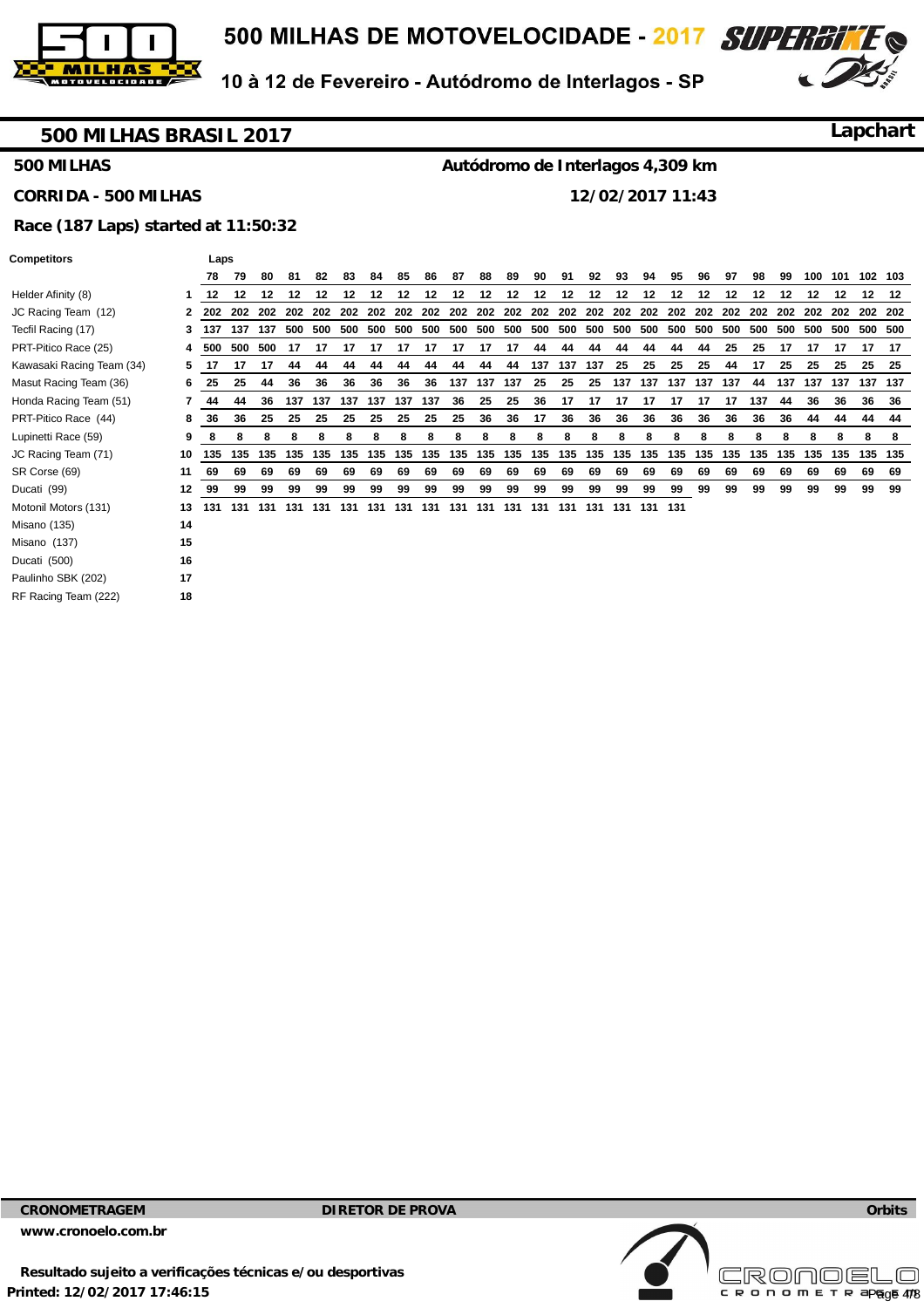



# **500 MILHAS BRASIL 2017**

**Lapchart**

#### **500 MILHAS**

# **Autódromo de Interlagos 4,309 km**

**CORRIDA - 500 MILHAS** 

**12/02/2017 11:43** 

## **Race (187 Laps) started at 11:50:32**

Laps

|                           |    | 78  | 79  | 80      | 81          | 82  | 83      | 84                          | 85  | 86                              | 87  | 88  | 89  | 90                      | 91  | 92  | 93  | 94          | 95          | 96  | 97      | 98  | 99      | 100 | 101                 |     | 102 103 |
|---------------------------|----|-----|-----|---------|-------------|-----|---------|-----------------------------|-----|---------------------------------|-----|-----|-----|-------------------------|-----|-----|-----|-------------|-------------|-----|---------|-----|---------|-----|---------------------|-----|---------|
| Helder Afinity (8)        |    | 12  | 12  | 12      | 12          | 12  | 12      | 12                          | 12  | 12                              | 12  | 12  | 12  | 12                      | 12  | 12  | 12  | 12          | 12          | 12  | 12      | 12  | 12      | 12  | $12 \,$             | 12  | 12      |
| JC Racing Team (12)       | 2  | 202 |     |         | 202 202 202 |     | 202 202 |                             |     | 202 202 202 202 202 202 202 202 |     |     |     |                         |     | 202 |     |             | 202 202 202 | 202 | 202 202 |     | 202 202 |     | 202 202 202         |     |         |
| Tecfil Racing (17)        | 3  | 137 |     | 137 137 | 500         | 500 |         | 500 500 500 500 500 500 500 |     |                                 |     |     |     | 500 500 500 500 500 500 |     |     |     |             |             |     | 500 500 | 500 |         |     | 500 500 500 500 500 |     |         |
| PRT-Pitico Race (25)      | 4  | 500 |     | 500 500 | 17          | 17  | 17      | 17                          | 17  | 17                              | 17  | 17  | 17  | 44                      | 44  | 44  | 44  | 44          | 44          | 44  | 25      | 25  | 17      | 17  | 17                  | 17  | -17     |
| Kawasaki Racing Team (34) | 5  | -17 | 17  | 17      | 44          | 44  | 44      | 44                          | 44  | 44                              | 44  | 44  | 44  | 137                     | 137 | 137 | 25  | 25          | 25          | 25  | 44      | 17  | 25      | 25  | 25                  | 25  | -25     |
| Masut Racing Team (36)    | 6  | 25  | 25  | 44      | 36          | 36  | 36      | 36                          | 36  | 36                              | 137 | 137 | 137 | 25                      | 25  | 25  | 137 | 137         | 137         | 137 | 137     | 44  | 137     | 137 | 137                 |     | 137 137 |
| Honda Racing Team (51)    |    | 44  | 44  | 36      | 137         | 137 | 137     | 137                         | 137 | 137                             | 36  | 25  | 25  | 36                      | 17  | 17  | 17  | 17          | 17          | 17  | 17      | 137 | 44      | 36  | 36                  | 36  | 36      |
| PRT-Pitico Race (44)      | 8  | 36  | 36  | 25      | 25          | 25  | 25      | 25                          | 25  | 25                              | 25  | 36  | 36  | 17                      | 36  | 36  | 36  | 36          | 36          | 36  | 36      | 36  | 36      | 44  | 44                  | 44  | 44      |
| Lupinetti Race (59)       | 9  | 8   | 8   | 8       | 8           | 8   | 8       | 8                           | 8   | 8                               | 8   | 8   | 8   | 8                       | 8   | 8   | 8   | 8           | 8           | 8   | 8       | 8   | 8       | 8   | 8                   | 8   | 8       |
| JC Racing Team (71)       | 10 | 135 | 135 | 135     | 135         | 135 | 135     | 135                         | 135 | 135                             | 135 | 135 | 135 | 135                     | 135 | 135 | 135 | 135         | 135         | 135 | 135     | 135 | 135     | 135 | 135                 | 135 | 135     |
| SR Corse (69)             | 11 | 69  | 69  | 69      | 69          | 69  | 69      | 69                          | 69  | 69                              | 69  | 69  | 69  | 69                      | 69  | 69  | 69  | 69          | 69          | 69  | 69      | 69  | 69      | 69  | 69                  | 69  | 69      |
| Ducati (99)               | 12 | 99  | 99  | 99      | 99          | 99  | 99      | 99                          | 99  | 99                              | 99  | 99  | 99  | 99                      | 99  | 99  | 99  | 99          | 99          | 99  | 99      | 99  | 99      | 99  | 99                  | 99  | 99      |
| Motonil Motors (131)      | 13 | 131 | 131 | 131     | 131         | 131 | 131     | 131                         | 131 | 131                             | 131 | 131 | 131 | 131                     | 131 | 131 |     | 131 131 131 |             |     |         |     |         |     |                     |     |         |
| Misano (135)              | 14 |     |     |         |             |     |         |                             |     |                                 |     |     |     |                         |     |     |     |             |             |     |         |     |         |     |                     |     |         |
| Misano (137)              | 15 |     |     |         |             |     |         |                             |     |                                 |     |     |     |                         |     |     |     |             |             |     |         |     |         |     |                     |     |         |
| Ducati (500)              | 16 |     |     |         |             |     |         |                             |     |                                 |     |     |     |                         |     |     |     |             |             |     |         |     |         |     |                     |     |         |
| Paulinho SBK (202)        | 17 |     |     |         |             |     |         |                             |     |                                 |     |     |     |                         |     |     |     |             |             |     |         |     |         |     |                     |     |         |
|                           |    |     |     |         |             |     |         |                             |     |                                 |     |     |     |                         |     |     |     |             |             |     |         |     |         |     |                     |     |         |

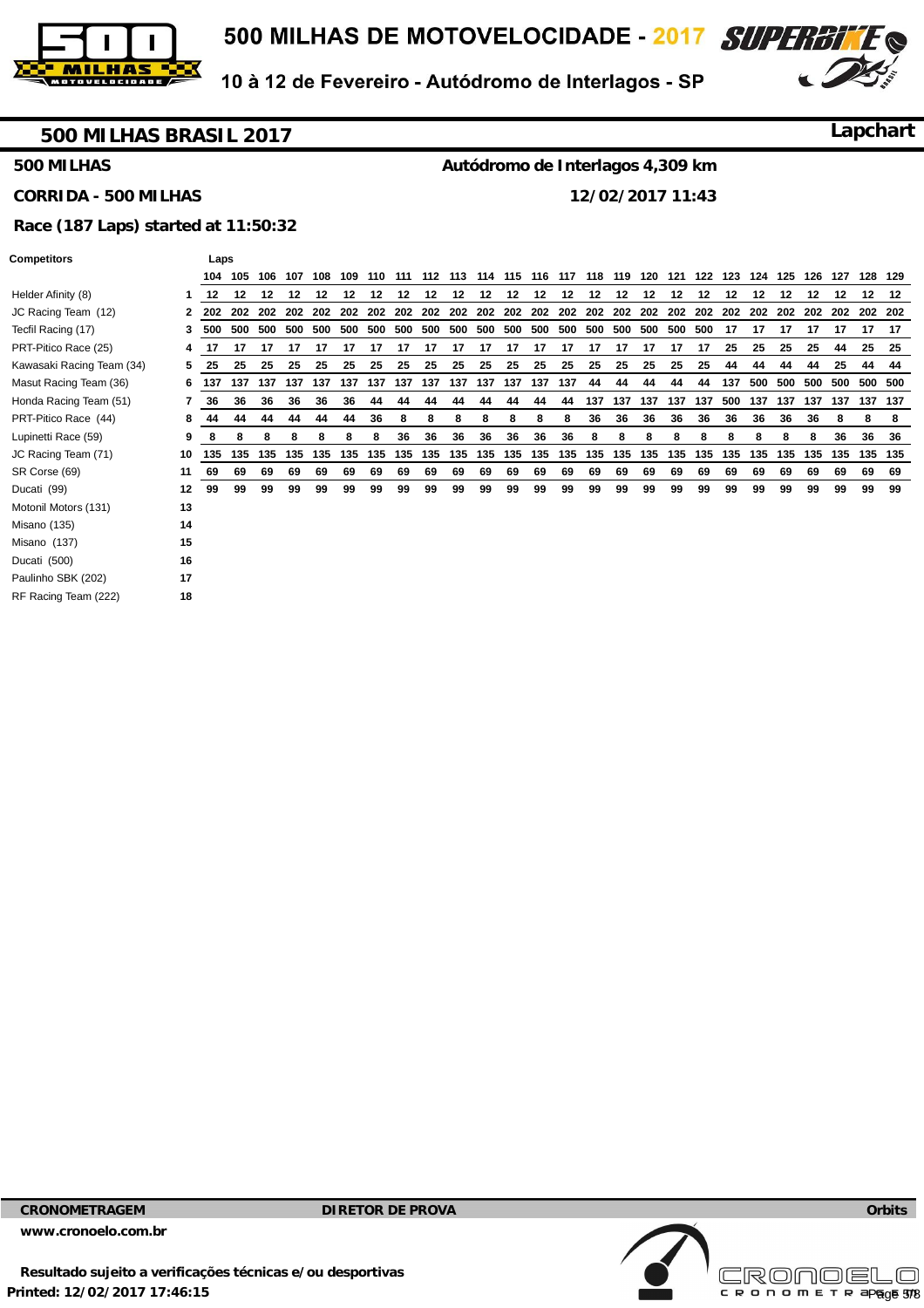



### **500 MILHAS BRASIL 2017**

**Lapchart**

#### **500 MILHAS**

#### **CORRIDA - 500 MILHAS**

**Autódromo de Interlagos 4,309 km** 

**12/02/2017 11:43** 

#### **Race (187 Laps) started at 11:50:32**

Laps

| Competitors |  |
|-------------|--|
|             |  |

| Helder Afinity (8)        |    |     |         |         |     |     |     |         |     |                         |     |     |     |             |     |     |             | 108 109 110 111 112 113 114 115 116 117 118 119 120 121 122 123 124 125 126 127 |     |     |     |     |     |     |             |     | 128 129 |
|---------------------------|----|-----|---------|---------|-----|-----|-----|---------|-----|-------------------------|-----|-----|-----|-------------|-----|-----|-------------|---------------------------------------------------------------------------------|-----|-----|-----|-----|-----|-----|-------------|-----|---------|
|                           |    | 12  | 12      | 12      | 12  | 12  | 12  | 12      | 12  | 12                      | 12  | 12  | 12  | 12          | 12  | 12  | 12          | 12                                                                              | 12  | 12  | 12  | 12  | 12  | 12  | 12          | 12  | 12      |
| JC Racing Team (12)       | 2  | 202 |         | 202 202 | 202 | 202 | 202 | 202     | 202 | 202 202 202 202         |     |     |     | 202 202     |     | 202 | 202         | 202 202                                                                         |     | 202 | 202 | 202 | 202 | 202 | 202 202 202 |     |         |
| Tecfil Racing (17)        | 3  | 500 | 500     | 500     | 500 | 500 | 500 | 500 500 |     | 500 500 500 500 500 500 |     |     |     |             |     | 500 | 500 500 500 |                                                                                 |     | 500 | 17  | 17  | 17  | 17  | 17          | 17  | -17     |
| PRT-Pitico Race (25)      | 4  | 17  | 17      | 17      | 17  | 17  | 17  | 17      | 17  | 17                      | 17  | 17  | 17  | 17          | 17  | 17  | 17          | 17                                                                              | 17  | 17  | 25  | 25  | 25  | 25  | 44          | 25  | 25      |
| Kawasaki Racing Team (34) | 5  | 25  | 25      | 25      | 25  | 25  | 25  | 25      | 25  | 25                      | 25  | 25  | 25  | 25          | 25  | 25  | 25          | 25                                                                              | 25  | 25  | 44  | 44  | 44  | 44  | 25          |     | 44 44   |
| Masut Racing Team (36)    | 6  | 137 | 137 137 |         | 137 | 137 | 137 | 137     |     | 137 137                 | 137 |     |     | 137 137 137 | 137 | 44  | 44          | 44                                                                              | 44  | 44  | 137 | 500 | 500 | 500 | 500         |     | 500 500 |
| Honda Racing Team (51)    | 7  | 36  | 36      | 36      | 36  | 36  | 36  | 44      | 44  | 44                      | 44  | 44  | 44  | 44          | 44  | 137 | 137         | 137                                                                             | 137 | 137 | 500 | 137 | 137 | 137 | 137         | 137 | 137     |
| PRT-Pitico Race (44)      | 8  | 44  | 44      | 44      | 44  | 44  | 44  | 36      | 8   | 8                       | 8   | 8   | 8   | 8           | 8   | 36  | 36          | 36                                                                              | 36  | 36  | 36  | 36  | 36  | 36  | 8           | 8   | 8       |
| Lupinetti Race (59)       | 9  | 8   | 8       | 8       | 8   | 8   | 8   | 8       | 36  | 36                      | 36  | 36  | 36  | 36          | 36  | 8   | 8           | 8                                                                               | 8   | 8   | 8   | 8   | 8   | 8   | 36          | 36  | 36      |
| JC Racing Team (71)       | 10 | 135 | 135     | 135     | 135 | 135 | 135 | 135     | 135 | 135                     | 135 | 135 | 135 | 135         | 135 | 135 | 135         | 135                                                                             | 135 | 135 | 135 | 135 | 135 | 135 | 135         |     | 135 135 |
| SR Corse (69)             | 11 | 69  | 69      | 69      | 69  | 69  | 69  | 69      | 69  | 69                      | 69  | 69  | 69  | 69          | 69  | 69  | 69          | 69                                                                              | 69  | 69  | 69  | 69  | 69  | 69  | 69          | 69  | 69      |
| Ducati (99)               | 12 | 99  | 99      | 99      | 99  | 99  | 99  | 99      | 99  | 99                      | 99  | 99  | 99  | 99          | 99  | 99  | 99          | 99                                                                              | 99  | 99  | 99  | 99  | 99  | 99  | 99          | 99  | 99      |
| Motonil Motors (131)      | 13 |     |         |         |     |     |     |         |     |                         |     |     |     |             |     |     |             |                                                                                 |     |     |     |     |     |     |             |     |         |
| Misano (135)              | 14 |     |         |         |     |     |     |         |     |                         |     |     |     |             |     |     |             |                                                                                 |     |     |     |     |     |     |             |     |         |
| Misano (137)              | 15 |     |         |         |     |     |     |         |     |                         |     |     |     |             |     |     |             |                                                                                 |     |     |     |     |     |     |             |     |         |
| Ducati (500)              | 16 |     |         |         |     |     |     |         |     |                         |     |     |     |             |     |     |             |                                                                                 |     |     |     |     |     |     |             |     |         |
| Paulinho SBK (202)        | 17 |     |         |         |     |     |     |         |     |                         |     |     |     |             |     |     |             |                                                                                 |     |     |     |     |     |     |             |     |         |
| RF Racing Team (222)      | 18 |     |         |         |     |     |     |         |     |                         |     |     |     |             |     |     |             |                                                                                 |     |     |     |     |     |     |             |     |         |

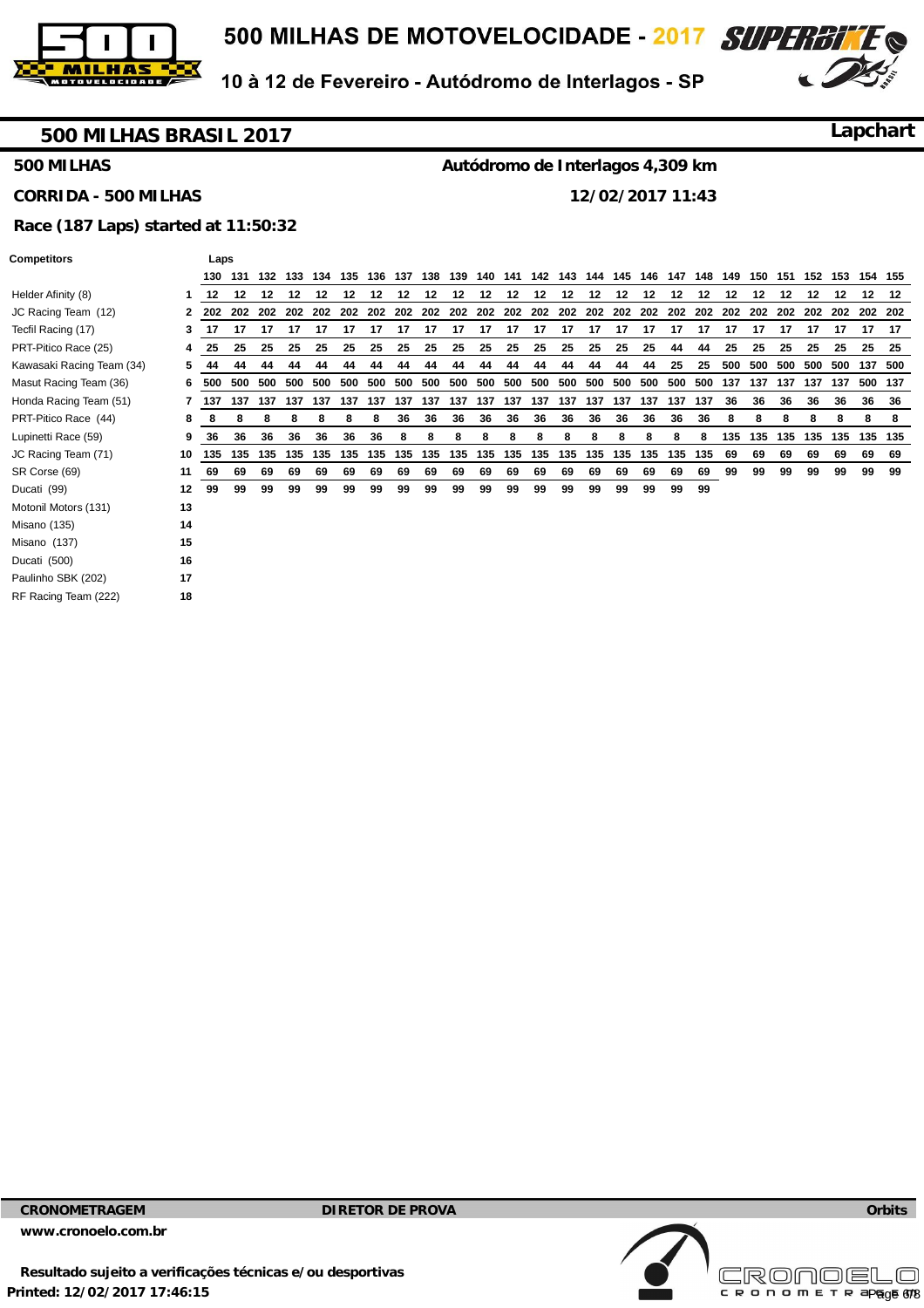



**Lapchart**

### **500 MILHAS BRASIL 2017**

#### **500 MILHAS**

**Autódromo de Interlagos 4,309 km** 

## **CORRIDA - 500 MILHAS**

**12/02/2017 11:43** 

#### **Race (187 Laps) started at 11:50:32**

Laps

| Competitors |  |
|-------------|--|
|             |  |

|                           |    | 130   | 131     |     | 132 133 | 134 | 135                     |     | 136 137 | 138 | 139 | 140 141 |         | 142                         | 143 | 144 | 145 | 146 | 147 | 148         | 149 | 150 |     | 151 152 153 |     | 154 155 |         |
|---------------------------|----|-------|---------|-----|---------|-----|-------------------------|-----|---------|-----|-----|---------|---------|-----------------------------|-----|-----|-----|-----|-----|-------------|-----|-----|-----|-------------|-----|---------|---------|
| Helder Afinity (8)        |    | 12    | 12      | 12  | 12      | 12  | 12                      | 12  | $12 \,$ | 12  | 12  | 12      | 12      | 12                          | 12  | 12  | 12  | 12  | 12  | 12          | 12  | 12  | 12  | 12          | 12  | 12      | 12      |
| JC Racing Team (12)       |    |       | 202 202 | 202 |         |     | 202 202 202 202 202 202 |     |         |     | 202 |         |         | 202 202 202 202 202 202 202 |     |     |     |     |     | 202 202 202 |     | 202 |     | 202 202     | 202 | 202 202 |         |
| Tecfil Racing (17)        | 3  | 17    | 17      | 17  | 17      | 17  | 17                      | 17  | 17      | 17  | 17  | 17      | 17      | 17                          | 17  | 17  | 17  | 17  | 17  | 17          | 17  | 17  | 17  | 17          | 17  | 17      | - 17    |
| PRT-Pitico Race (25)      | 4  | 25    | 25      | 25  | 25      | 25  | 25                      | 25  | 25      | 25  | 25  | 25      | 25      | 25                          | 25  | 25  | 25  | 25  | 44  | 44          | 25  | 25  | 25  | 25          | 25  | 25      | - 25    |
| Kawasaki Racing Team (34) | 5  | 44    | 44      | 44  | 44      | 44  | 44                      | 44  | 44      | 44  | 44  | 44      | 44      | 44                          | 44  | 44  | 44  | 44  | 25  | 25          | 500 | 500 | 500 | 500         | 500 |         | 137 500 |
| Masut Racing Team (36)    | 6  | 500   | 500     | 500 | 500     | 500 | 500                     | 500 | 500     | 500 | 500 | 500     | 500     | 500                         | 500 | 500 | 500 | 500 | 500 | 500         | 137 | 137 | 137 | 137         | 137 |         | 500 137 |
| Honda Racing Team (51)    |    | 7 137 | 137     | 137 | 137     | 137 | 137                     | 137 | 137     | 137 | 137 | 137     | 137     | 137                         | 137 | 137 | 137 | 137 | 137 | 137         | 36  | 36  | 36  | 36          | 36  | 36      | 36      |
| PRT-Pitico Race (44)      | 8  | 8     | 8       | 8   | 8       | 8   | 8                       | 8   | 36      | 36  | 36  | 36      | 36      | 36                          | 36  | 36  | 36  | 36  | 36  | 36          | 8   | 8   | 8   | 8           | 8   | 8       | 8       |
| Lupinetti Race (59)       | 9  | 36    | 36      | 36  | 36      | 36  | 36                      | 36  | 8       | 8   | 8   | 8       | 8       | 8                           | 8   | 8   | 8   | 8   | 8   | 8           | 135 | 135 | 135 | 135         | 135 | 135 135 |         |
| JC Racing Team (71)       | 10 | 135   | 135     | 135 | 135     | 135 | 135                     | 135 | 135     | 135 | 135 |         | 135 135 | 135                         | 135 | 135 | 135 | 135 | 135 | 135         | 69  | 69  | 69  | 69          | 69  | 69      | 69      |
| SR Corse (69)             | 11 | 69    | 69      | 69  | 69      | 69  | 69                      | 69  | 69      | 69  | 69  | 69      | 69      | 69                          | 69  | 69  | 69  | 69  | 69  | 69          | 99  | 99  | 99  | 99          | 99  | 99      | 99      |
| Ducati (99)               | 12 | 99    | 99      | 99  | 99      | 99  | 99                      | 99  | 99      | 99  | 99  | 99      | 99      | 99                          | 99  | 99  | 99  | 99  | 99  | 99          |     |     |     |             |     |         |         |
| Motonil Motors (131)      | 13 |       |         |     |         |     |                         |     |         |     |     |         |         |                             |     |     |     |     |     |             |     |     |     |             |     |         |         |
| Misano (135)              | 14 |       |         |     |         |     |                         |     |         |     |     |         |         |                             |     |     |     |     |     |             |     |     |     |             |     |         |         |
| Misano (137)              | 15 |       |         |     |         |     |                         |     |         |     |     |         |         |                             |     |     |     |     |     |             |     |     |     |             |     |         |         |
| Ducati (500)              | 16 |       |         |     |         |     |                         |     |         |     |     |         |         |                             |     |     |     |     |     |             |     |     |     |             |     |         |         |
| Paulinho SBK (202)        | 17 |       |         |     |         |     |                         |     |         |     |     |         |         |                             |     |     |     |     |     |             |     |     |     |             |     |         |         |
|                           | 18 |       |         |     |         |     |                         |     |         |     |     |         |         |                             |     |     |     |     |     |             |     |     |     |             |     |         |         |

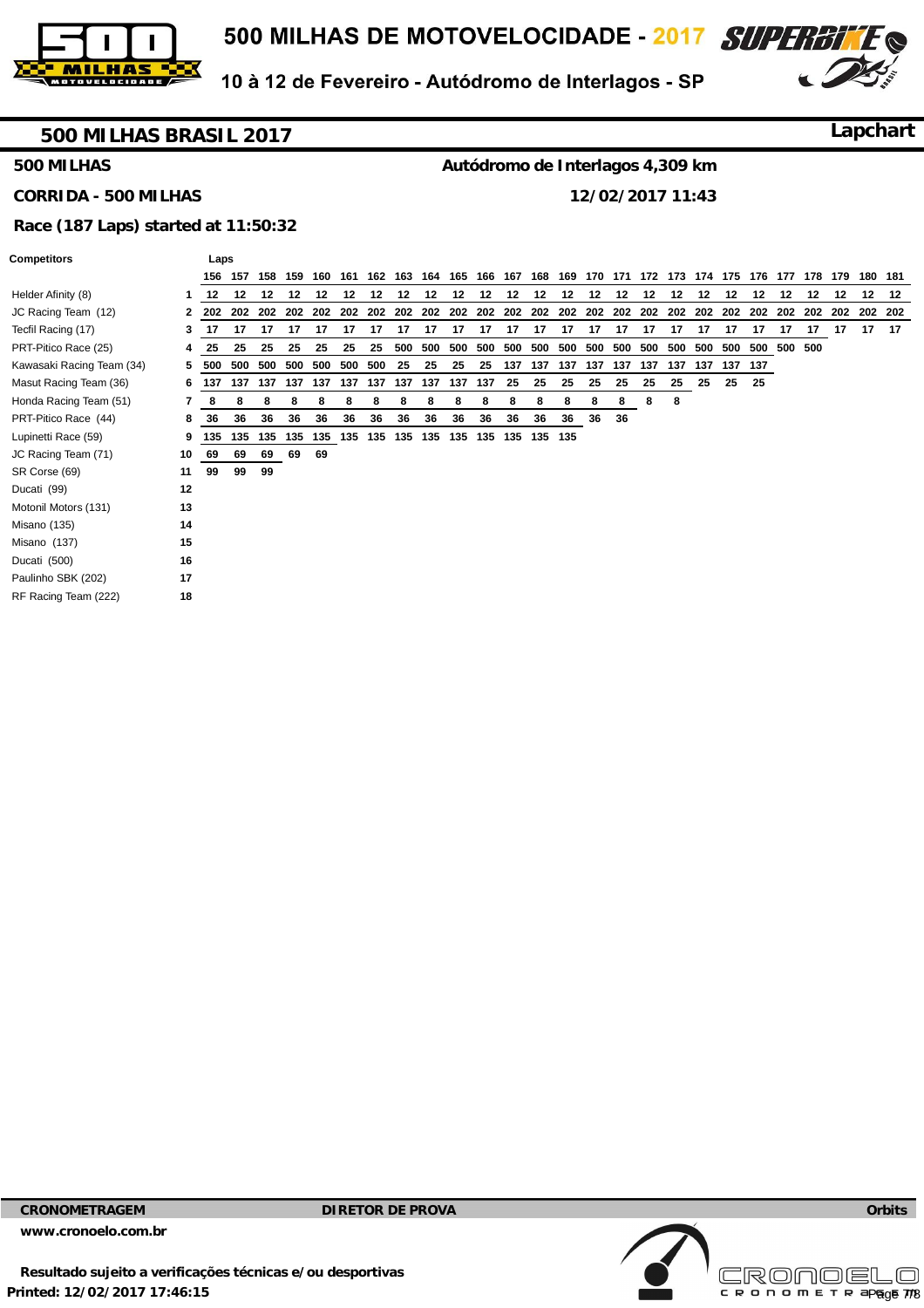



#### **500 MILHAS BRASIL 2017**

**Lapchart**

#### **500 MILHAS**

# **Autódromo de Interlagos 4,309 km**

**CORRIDA - 500 MILHAS** 

**12/02/2017 11:43** 

#### **Race (187 Laps) started at 11:50:32**

Laps

| Competitors |  |  |
|-------------|--|--|
|             |  |  |

|                           |              | 156 | 157     | 158     | 159 | 160 | 161     | 162     | 163         | 164                 | 165     | 166     | 167             | 168 | 169     | 170     | 171 | 172 | 173 | 174 | 175 | 176 | 177 | 178 | 179 |         | 180 181 |
|---------------------------|--------------|-----|---------|---------|-----|-----|---------|---------|-------------|---------------------|---------|---------|-----------------|-----|---------|---------|-----|-----|-----|-----|-----|-----|-----|-----|-----|---------|---------|
| Helder Afinity (8)        |              | 12  | $12 \,$ | 12      | 12  | 12  | $12 \,$ | 12      | $12 \,$     | 12                  | $12 \,$ | 12      | 12              | 12  | $12 \,$ | $12 \,$ | 12  | 12  | 12  | 12  | 12  | 12  | 12  | 12  | 12  | $12 \,$ | - 12    |
| JC Racing Team (12)       | $\mathbf{2}$ | 202 |         | 202 202 | 202 | 202 |         |         | 202 202 202 | 202                 |         | 202 202 | 202             | 202 |         | 202 202 | 202 | 202 | 202 | 202 | 202 | 202 | 202 | 202 | 202 | 202 202 |         |
| Tecfil Racing (17)        | 3            | 17  | 17      | 17      | 17  | 17  | 17      | 17      | 17          | 17                  | 17      | 17      | 17              | 17  | 17      | 17      | 17  | 17  | 17  | 17  | 17  | 17  | 17  | 17  | 17  | 17      | - 17    |
| PRT-Pitico Race (25)      | 4            | 25  | 25      | 25      | 25  | 25  | 25      | 25      | 500         | 500                 | 500     | 500     | 500             | 500 | 500     | 500     | 500 | 500 | 500 | 500 | 500 | 500 | 500 | 500 |     |         |         |
| Kawasaki Racing Team (34) | 5.           | 500 | 500     | 500     | 500 | 500 | 500     | 500     | 25          | 25                  | 25      | 25      | 137             | 137 | 137     | 137     | 137 | 137 | 137 | 137 | 137 | 137 |     |     |     |         |         |
| Masut Racing Team (36)    | 6            | 137 | 137     | 137     | 137 | 137 |         | 137 137 | 137         | 137                 | 137     | 137     | 25              | 25  | 25      | 25      | 25  | 25  | 25  | 25  | 25  | 25  |     |     |     |         |         |
| Honda Racing Team (51)    |              | 8   | 8       | 8       | 8   | 8   | 8       | 8       | 8           | 8                   | 8       | 8       | 8               | 8   | 8       | 8       | 8   | 8   | 8   |     |     |     |     |     |     |         |         |
| PRT-Pitico Race (44)      | 8            | 36  | 36      | 36      | 36  | 36  | 36      | 36      | 36          | 36                  | 36      | 36      | 36              | 36  | 36      | 36      | 36  |     |     |     |     |     |     |     |     |         |         |
| Lupinetti Race (59)       | 9            | 135 |         | 135 135 | 135 | 135 |         |         |             | 135 135 135 135 135 |         |         | 135 135 135 135 |     |         |         |     |     |     |     |     |     |     |     |     |         |         |
| JC Racing Team (71)       | 10           | 69  | 69      | 69      | 69  | 69  |         |         |             |                     |         |         |                 |     |         |         |     |     |     |     |     |     |     |     |     |         |         |
| SR Corse (69)             | 11           | 99  | 99      | 99      |     |     |         |         |             |                     |         |         |                 |     |         |         |     |     |     |     |     |     |     |     |     |         |         |
| Ducati (99)               | 12           |     |         |         |     |     |         |         |             |                     |         |         |                 |     |         |         |     |     |     |     |     |     |     |     |     |         |         |
| Motonil Motors (131)      | 13           |     |         |         |     |     |         |         |             |                     |         |         |                 |     |         |         |     |     |     |     |     |     |     |     |     |         |         |
| Misano (135)              | 14           |     |         |         |     |     |         |         |             |                     |         |         |                 |     |         |         |     |     |     |     |     |     |     |     |     |         |         |
| Misano (137)              | 15           |     |         |         |     |     |         |         |             |                     |         |         |                 |     |         |         |     |     |     |     |     |     |     |     |     |         |         |
| Ducati (500)              | 16           |     |         |         |     |     |         |         |             |                     |         |         |                 |     |         |         |     |     |     |     |     |     |     |     |     |         |         |
| Paulinho SBK (202)        | 17           |     |         |         |     |     |         |         |             |                     |         |         |                 |     |         |         |     |     |     |     |     |     |     |     |     |         |         |
| RF Racing Team (222)      | 18           |     |         |         |     |     |         |         |             |                     |         |         |                 |     |         |         |     |     |     |     |     |     |     |     |     |         |         |
|                           |              |     |         |         |     |     |         |         |             |                     |         |         |                 |     |         |         |     |     |     |     |     |     |     |     |     |         |         |